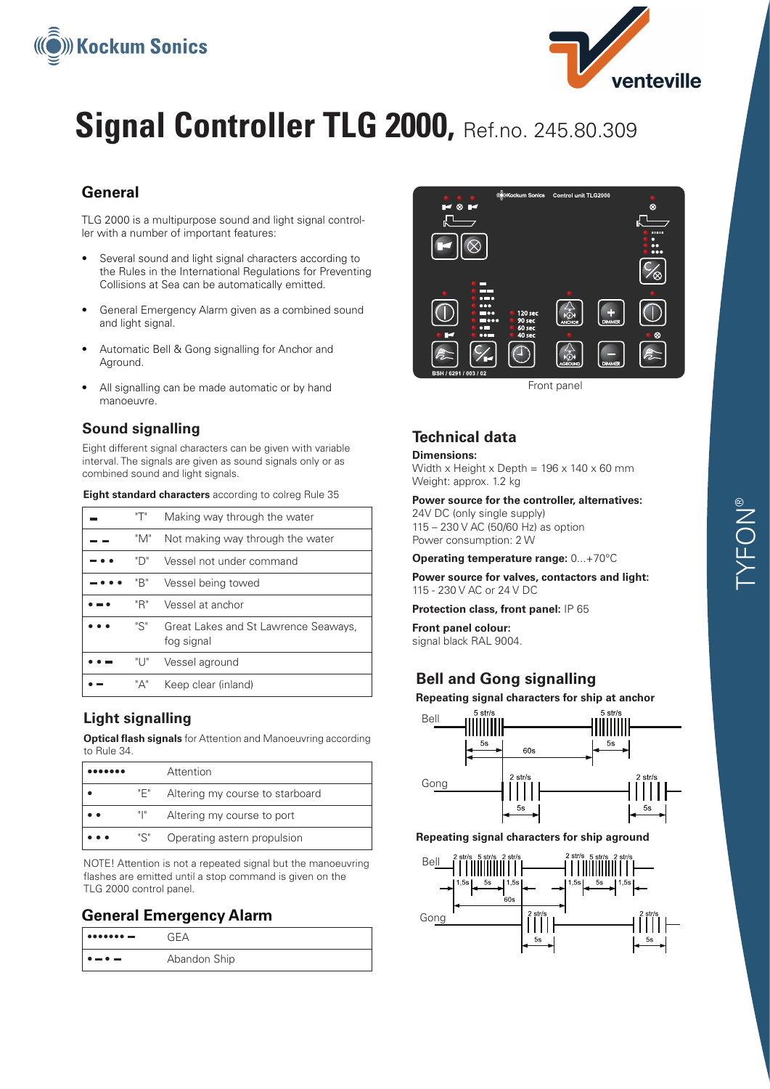



# **Signal Controller TLG 2000, Ref.no. 245.80.309**

## **General**

TLG 2000 is a multipurpose sound and light signal controller with a number of important features:

- Several sound and light signal characters according to the Rules in the International Regulations for Preventing Collisions at Sea can be automatically emitted.
- General Emergency Alarm given as a combined sound and light signal.
- Automatic Bell & Gong signalling for Anchor and Aground.
- All signalling can be made automatic or by hand manoeuvre.

#### **Sound signalling**

Eight different signal characters can be given with variable interval. The signals are given as sound signals only or as combined sound and light signals.

| "T"  | Making way through the water                       |
|------|----------------------------------------------------|
| "M"  | Not making way through the water                   |
| "ר"  | Vessel not under command                           |
| "B"  | Vessel being towed                                 |
| "R"  | Vessel at anchor                                   |
| "S"  | Great Lakes and St Lawrence Seaways,<br>fog signal |
| "ו " | Vessel aground                                     |
| "Д"  | Keep clear (inland)                                |

**Eight standard characters** according to colreg Rule 35

### **Light signalling**

**Optical flash signals** for Attention and Manoeuvring according to Rule 34.

|                    |     | Attention                       |
|--------------------|-----|---------------------------------|
|                    | "F" | Altering my course to starboard |
| $\bullet\,\bullet$ | щ.  | Altering my course to port      |
| .                  | "S" | Operating astern propulsion     |

NOTE! Attention is not a repeated signal but the manoeuvring flashes are emitted until a stop command is given on the TLG 2000 control panel.

#### **General Emergency Alarm**

| $\bullet \bullet \bullet \bullet \bullet \bullet \bullet \bullet \textcolor{red}{\blacksquare}$ | GΕΔ          |
|-------------------------------------------------------------------------------------------------|--------------|
| $\bullet = \bullet =$                                                                           | Abandon Ship |



Front panel

## **Technical data**

#### **Dimensions:**

Width x Height x Depth =  $196 \times 140 \times 60$  mm Weight: approx. 1.2 kg

**Power source for the controller, alternatives:**

24V DC (only single supply) 115 – 230 V AC (50/60 Hz) as option Power consumption: 2 W

**Operating temperature range:** 0...+70°C

**Power source for valves, contactors and light:** 115 - 230 V AC or 24 V DC

**Protection class, front panel:** IP 65

**Front panel colour:**  signal black RAL 9004.

## **Bell and Gong signalling**

**Repeating signal characters for ship at anchor**



**Repeating signal characters for ship aground**